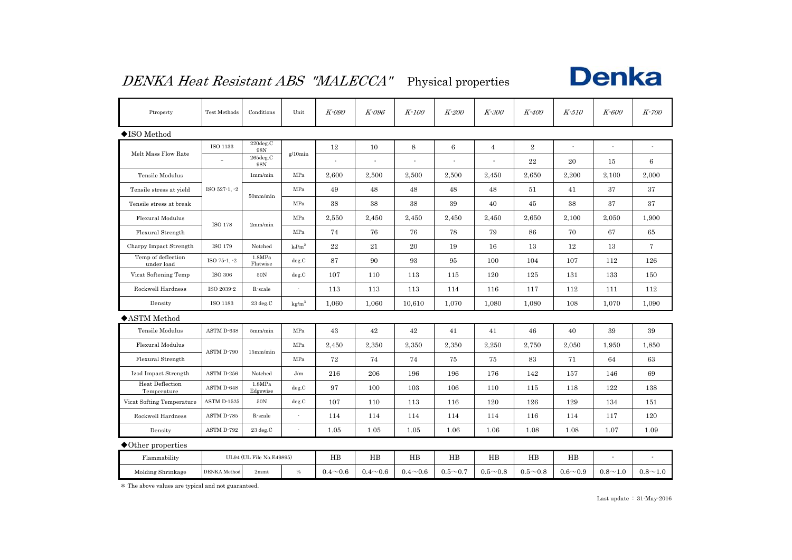### DENKA Heat Resistant ABS "MALECCA" Physical properties



| Ptroperty                             | Test Methods                 | Conditions         | Unit              | K-090          | K-096          | K-100          | K-200          | K-300          | K-400          | K-510          | K-600          | K-700          |
|---------------------------------------|------------------------------|--------------------|-------------------|----------------|----------------|----------------|----------------|----------------|----------------|----------------|----------------|----------------|
| $\blacklozenge$ ISO Method            |                              |                    |                   |                |                |                |                |                |                |                |                |                |
| Melt Mass Flow Rate                   | ISO 1133                     | 220deg.C<br>98N    | $g/10$ min        | 12             | 10             | 8              | $\,6$          | $\overline{4}$ | $\overline{2}$ |                |                |                |
|                                       |                              | 265deg.C<br>98N    |                   |                |                |                | ÷,             |                | 22             | 20             | 15             | 6              |
| Tensile Modulus                       |                              | 1mm/min            | MPa               | 2,600          | 2,500          | 2,500          | 2,500          | 2,450          | 2,650          | 2,200          | 2,100          | 2,000          |
| Tensile stress at yield               | ISO 527-1, -2<br>$50$ mm/min |                    | MPa               | 49             | 48             | 48             | 48             | 48             | 51             | 41             | 37             | 37             |
| Tensile stress at break               |                              |                    | MPa               | 38             | 38             | 38             | 39             | 40             | 45             | 38             | 37             | 37             |
| Flexural Modulus                      | ISO 178                      |                    | MPa               | 2,550          | 2,450          | 2,450          | 2,450          | 2,450          | 2,650          | 2,100          | 2,050          | 1,900          |
| Flexural Strength                     |                              | 2mm/min            | MPa               | 74             | 76             | 76             | 78             | 79             | 86             | 70             | 67             | 65             |
| Charpy Impact Strength                | ISO 179                      | Notched            | kJ/m <sup>2</sup> | 22             | 21             | 20             | 19             | 16             | 13             | 12             | 13             | $\tau$         |
| Temp of deflection<br>under load      | ISO 75-1, -2                 | 1.8MPa<br>Flatwise | deg.C             | 87             | 90             | 93             | 95             | 100            | 104            | 107            | 112            | 126            |
| Vicat Softening Temp                  | <b>ISO 306</b>               | $50N$              | deg.C             | 107            | 110            | 113            | 115            | 120            | 125            | 131            | 133            | 150            |
| Rockwell Hardness                     | ISO 2039-2                   | R-scale            |                   | 113            | 113            | 113            | 114            | 116            | 117            | 112            | 111            | 112            |
| Density                               | ISO 1183                     | 23 deg.C           | kg/m <sup>3</sup> | 1,060          | 1,060          | 10,610         | 1,070          | 1,080          | 1,080          | 108            | 1,070          | 1,090          |
| ◆ASTM Method                          |                              |                    |                   |                |                |                |                |                |                |                |                |                |
| <b>Tensile Modulus</b>                | ASTM D-638                   | 5mm/min            | MPa               | 43             | 42             | 42             | 41             | 41             | 46             | 40             | 39             | 39             |
| Flexural Modulus                      | ASTM D-790                   | 15mm/min           | MPa               | 2,450          | 2,350          | 2,350          | 2,350          | 2,250          | 2,750          | 2,050          | 1,950          | 1,850          |
| Flexural Strength                     |                              |                    | MPa               | 72             | 74             | 74             | 75             | 75             | 83             | 71             | 64             | 63             |
| Izod Impact Strength                  | ASTM D-256                   | Notched            | J/m               | 216            | 206            | 196            | 196            | 176            | 142            | 157            | 146            | 69             |
| <b>Heat Deflection</b><br>Temperature | ASTM D-648                   | 1.8MPa<br>Edgewise | deg.C             | 97             | 100            | 103            | 106            | 110            | 115            | 118            | 122            | 138            |
| Vicat Softing Temperature             | ASTM D-1525                  | $50\rm{N}$         | deg.C             | 107            | 110            | 113            | 116            | 120            | 126            | 129            | 134            | 151            |
| Rockwell Hardness                     | ASTM D-785                   | R-scale            |                   | 114            | 114            | 114            | 114            | 114            | 116            | 114            | 117            | 120            |
| Density                               | ASTM D-792                   | 23 deg.C           |                   | 1.05           | 1.05           | 1.05           | 1.06           | 1.06           | 1.08           | 1.08           | 1.07           | 1.09           |
| $\blacklozenge$ Other properties      |                              |                    |                   |                |                |                |                |                |                |                |                |                |
| Flammability                          | UL94 (UL File No.E49895)     |                    |                   | $_{\rm HB}$    | $_{\rm HB}$    | $_{\rm HB}$    | $_{\rm HB}$    | $_{\rm HB}$    | HB             | $_{\rm HB}$    | $\overline{a}$ |                |
| Molding Shrinkage                     | DENKA Method                 | 2mmt               | $\%$              | $0.4 \sim 0.6$ | $0.4 \sim 0.6$ | $0.4 \sim 0.6$ | $0.5 \sim 0.7$ | $0.5 \sim 0.8$ | $0.5 \sim 0.8$ | $0.6 \sim 0.9$ | $0.8 \sim 1.0$ | $0.8 \sim 1.0$ |

\* The above values are typical and not guaranteed.